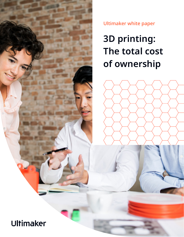

Ultimaker white paper

# **3D printing: The total cost of ownership**

## Ultimaker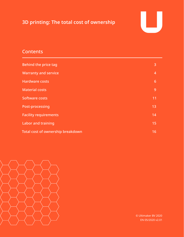### **3D printing: The total cost of ownership**



#### **Contents**

| <b>Behind the price tag</b>       | 3               |
|-----------------------------------|-----------------|
| <b>Warranty and service</b>       | $\overline{4}$  |
| <b>Hardware costs</b>             | $6\phantom{1}6$ |
| <b>Material costs</b>             | 9               |
| <b>Software costs</b>             | 11              |
| Post-processing                   | 13              |
| <b>Facility requirements</b>      | 14              |
| <b>Labor and training</b>         | 15              |
| Total cost of ownership breakdown | 16              |



© Ultimaker BV 2020 EN 05/2020 v2.01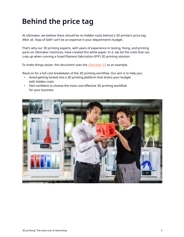### <span id="page-2-0"></span>**Behind the price tag**

At Ultimaker, we believe there should be no hidden costs behind a 3D printer's price tag. After all, 'leap of faith' can't be an expense in your department's budget.

That's why our 3D printing experts, with years of experience in testing, fixing, and printing parts on Ultimaker machines, have created this white paper. In it, we list the costs that can crop up when running a fused filament fabrication (FFF) 3D printing solution.

To make things easier, this document uses the [Ultimaker S5](https://ultimaker.com/3d-printers/ultimaker-s5?utm_source=white-paper&utm_medium=pdf&utm_content=total-cost-ownership) as an example.

Read on for a full cost breakdown of the 3D printing workflow. Our aim is to help you:

- Avoid getting locked into a 3D printing platform that drains your budget with hidden costs
- Feel confident to choose the most cost-effective 3D printing workflow for your business

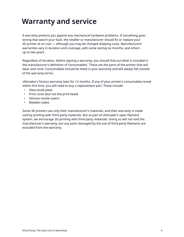### <span id="page-3-0"></span>**Warranty and service**

A warranty protects you against any mechanical hardware problems. If something goes wrong that wasn't your fault, the reseller or manufacturer should fix or replace your 3D printer at no cost — although you may be charged shipping costs. Manufacturers' warranties vary in duration and coverage, with some lasting six months, and others up to two years.

Regardless of duration, before signing a warranty, you should find out what is included in the manufacturer's definition of 'consumables'. These are the parts of the printer that will wear over time. Consumables should be listed in your warranty and will always fall outside of the warranty terms.

Ultimaker's factory warranty lasts for 12 months. If any of your printer's consumables break within this time, you will need to buy a replacement part. These include:

- Glass build plate
- Print cores (but not the print head)
- Silicone nozzle covers
- Bowden tubes

Some 3D printers use only their manufacturer's materials, and their warranty is made void by printing with third-party materials. But as part of Ultimaker's open filament system, we encourage 3D printing with third-party materials. Doing so will not void the manufacturer's warranty, but any parts damaged by the use of third-party filaments are excluded from the warranty.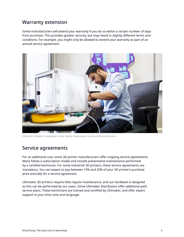#### Warranty extension

Some manufacturers will extend your warranty if you do so within a certain number of days from purchase. This provides greater security, but may result in slightly different terms and conditions. For example, you might only be allowed to extend your warranty as part of an annual service agreement.



*Ultimaker hardware is designed so that regular maintenance can be performed by users*

#### Service agreements

For an additional cost, some 3D printer manufacturers offer ongoing service agreements. Many follow a subscription model and include preventative maintenance performed by a certified technician. For some industrial 3D printers, these service agreements are mandatory. You can expect to pay between 15% and 20% of your 3D printer's purchase price annually for a service agreement.

Ultimaker 3D printers require little regular maintenance, and our hardware is designed so this can be performed by our users. Some Ultimaker distributors offer additional paid service plans. These technicians are trained and certified by Ultimaker, and offer expert support in your time zone and language.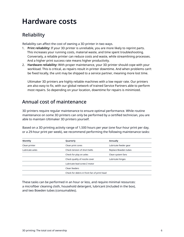### <span id="page-5-0"></span>**Hardware costs**

#### Reliability

Reliability can affect the cost of owning a 3D printer in two ways.

- 1. **Print reliability:** If your 3D printer is unreliable, you are more likely to reprint parts. This increases your running costs, material waste, and time spent troubleshooting. Conversely, a reliable printer can reduce costs and waste, while streamlining processes. And a higher print success rate means higher productivity.
- 2. **Hardware reliability:** With proper maintenance, your 3D printer should cope with your workload. This is critical, as repairs result in printer downtime. And when problems can't be fixed locally, the unit may be shipped to a service partner, meaning more lost time.

Ultimaker 3D printers are highly reliable machines with a low repair rate. Our printers are also easy to fix, with our global network of trained Service Partners able to perform most repairs. So depending on your location, downtime for repairs is minimized.

#### Annual cost of maintenance

3D printers require regular maintenance to ensure optimal performance. While routine maintenance on some 3D printers can only be performed by a certified technician, you are able to maintain Ultimaker 3D printers yourself.

Based on a 3D printing activity range of 1,500 hours per year (one four-hour print per day, or a 29-hour print per week), we recommend performing the following maintenance tasks:

| <b>Monthly</b>                              | Quarterly                     | Annually              |  |
|---------------------------------------------|-------------------------------|-----------------------|--|
| Clean printer                               | Clean print cores             | Lubricate feeder gear |  |
| Lubricate axles                             | Check tension of short belts  | Replace Bowden tubes  |  |
|                                             | Check for play on axles       | Clean system fans     |  |
|                                             | Check quality of nozzle cover | Lubricate hinges      |  |
| Lubricate lead screw Z motor                |                               |                       |  |
|                                             | Clean feeders                 |                       |  |
| Check for debris in front fan of print head |                               |                       |  |

These tasks can be performed in an hour or less, and require minimal resources: a microfiber cleaning cloth, household detergent, lubricant (included in the box), and two Bowden tubes (consumables).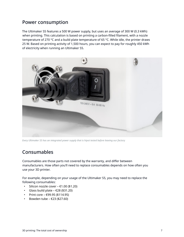#### Power consumption

The Ultimaker S5 features a 500 W power supply, but uses an average of 300 W (0.3 kWh) when printing. This calculation is based on printing a carbon-filled filament, with a nozzle temperature of 270 °C and a build plate temperature of 65 °C. While idle, the printer draws 25 W. Based on printing activity of 1,500 hours, you can expect to pay for roughly 450 kWh of electricity when running an Ultimaker S5.



*Every Ultimaker S5 has an integrated power supply that is hipot tested before leaving our factory*

#### Consumables

Consumables are those parts not covered by the warranty, and differ between manufacturers. How often you'll need to replace consumables depends on how often you use your 3D printer.

For example, depending on your usage of the Ultimaker S5, you may need to replace the following consumables:

- Silicon nozzle cover  $£1.00$  (\$1.20)
- Glass build plate  $\epsilon$ 28 (\$31.20)
- Print core  $£99.95 ($114.95)$
- Bowden tube  $\text{\textsterling}23$  (\$27.60)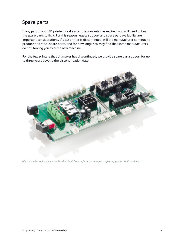#### Spare parts

If any part of your 3D printer breaks after the warranty has expired, you will need to buy the spare parts to fix it. For this reason, legacy support and spare part availability are important considerations. If a 3D printer is discontinued, will the manufacturer continue to produce and stock spare parts, and for how long? You may find that some manufacturers do not, forcing you to buy a new machine.

For the few printers that Ultimaker has discontinued, we provide spare part support for up to three years beyond the discontinuation date.



*Ultimaker will stock spare parts – like this circuit board – for up to three years after any product is discontinued*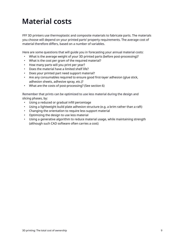### <span id="page-8-0"></span>**Material costs**

FFF 3D printers use thermoplastic and composite materials to fabricate parts. The materials you choose will depend on your printed parts' property requirements. The average cost of material therefore differs, based on a number of variables.

Here are some questions that will guide you in forecasting your annual material costs:

- What is the average weight of your 3D printed parts (before post-processing)?
- What is the cost per gram of the required material?
- How many parts will you print per year?
- Does the material have a limited shelf life?
- Does your printed part need support material?
- Are any consumables required to ensure good first-layer adhesion (glue stick, adhesion sheets, adhesive spray, etc.)?
- What are the costs of post-processing? (See section 6)

Remember that prints can be optimized to use less material during the design and slicing phases, by:

- Using a reduced or gradual infill percentage
- Using a lightweight build plate adhesion structure (e.g. a brim rather than a raft)
- Changing the orientation to require less support material
- Optimizing the design to use less material
- Using a generative algorithm to reduce material usage, while maintaining strength (although such CAD software often carries a cost)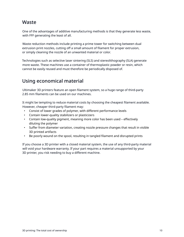#### **Waste**

One of the advantages of additive manufacturing methods is that they generate less waste, with FFF generating the least of all.

Waste reduction methods include printing a prime tower for switching between dual extrusion print nozzles, cutting off a small amount of filament for proper extrusion, or simply cleaning the nozzle of an unwanted material or color.

Technologies such as selective laser sintering (SLS) and stereolithography (SLA) generate more waste. These machines use a container of thermoplastic powder or resin, which cannot be easily reused and must therefore be periodically disposed of.

#### Using economical material

Ultimaker 3D printers feature an open filament system, so a huge range of third-party 2.85 mm filaments can be used on our machines.

It might be tempting to reduce material costs by choosing the cheapest filament available. However, cheaper third-party filament may:

- Consist of lower grades of polymer, with different performance levels
- Contain lower-quality stabilizers or plasticizers
- Contain low-quality pigment, meaning more color has been used effectively diluting the polymer
- Suffer from diameter variation, creating nozzle pressure changes that result in visible 3D printed artifacts
- Be poorly wound on the spool, resulting in tangled filament and disrupted prints

If you choose a 3D printer with a closed material system, the use of any third-party material will void your hardware warranty. If your part requires a material unsupported by your 3D printer, you risk needing to buy a different machine.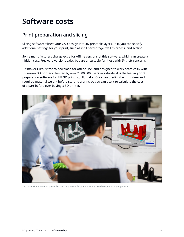### <span id="page-10-0"></span>**Software costs**

#### Print preparation and slicing

Slicing software 'slices' your CAD design into 3D printable layers. In it, you can specify additional settings for your print, such as infill percentage, wall thickness, and scaling.

Some manufacturers charge extra for offline versions of this software, which can create a hidden cost. Freeware versions exist, but are unsuitable for those with IP theft concerns.

Ultimaker Cura is free to download for offline use, and designed to work seamlessly with Ultimaker 3D printers. Trusted by over 2,000,000 users worldwide, it is the leading print preparation software for FFF 3D printing. Ultimaker Cura can predict the print time and required material weight before starting a print, so you can use it to calculate the cost of a part before ever buying a 3D printer.



*The Ultimaker S-line and Ultimaker Cura is a powerful combination trusted by leading manufacturers*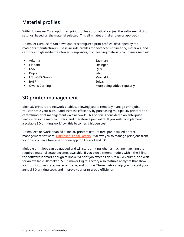#### Material profiles

Within Ultimaker Cura, optimized print profiles automatically adjust the software's slicing settings, based on the material selected. This eliminates a trial-and-error approach.

Ultimaker Cura users can download preconfigured print profiles, developed by the material's manufacturers. These include profiles for advanced engineering materials, and carbon- and glass-fiber reinforced composites, from leading materials companies such as:

- Arkema
- Clariant
- DSM
- Dupont
- LEHVOSS Group
- BASF
- Owens Corning
- Eastman
- **Ensinger**
- Igus
- Jabil
- Murtfeldt
- Solvay
- More being added regularly

#### 3D printer management

Most 3D printers are network-enabled, allowing you to remotely manage print jobs. You can scale your output and increase efficiency by purchasing multiple 3D printers and centralizing print management via a network. This option is considered an enterprise feature by some manufacturers, and therefore a paid extra. If you wish to implement a scalable 3D printing workflow, this becomes a hidden cost.

Ultimaker's network-enabled S-line 3D printers feature free, pre-installed printer management software: [Ultimaker](https://ultimaker.com/software?utm_source=white-paper&utm_medium=pdf&utm_content=total-cost-ownership) Digital Factory. It allows you to manage print jobs from your desk or via a free smartphone app for Android and iOS.

Multiple print jobs can be queued and will start printing when a machine matching the required material setup becomes available. If you own different models within the S-line, the software is smart enough to know if a print job exceeds an S3's build volume, and wait for an available Ultimaker S5. Ultimaker Digital Factory also features analytics that show your print success rate, material usage, and uptime. These metrics help you forecast your annual 3D printing costs and improve your print group efficiency.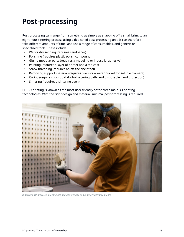### <span id="page-12-0"></span>**Post-processing**

Post-processing can range from something as simple as snapping off a small brim, to an eight-hour sintering process using a dedicated post-processing unit. It can therefore take different amounts of time, and use a range of consumables, and generic or specialized tools. These include:

- Wet or dry sanding (requires sandpaper)
- Polishing (requires plastic polish compound)
- Gluing modular parts (requires a modeling or industrial adhesive)
- Painting (requires a layer of primer and a top coat)
- Screw threading (requires an off-the-shelf tool)
- Removing support material (requires pliers or a water bucket for soluble filament)
- Curing (requires isopropyl alcohol, a curing bath, and disposable hand protection)
- Sintering (requires a sintering oven)

FFF 3D printing is known as the most user-friendly of the three main 3D printing technologies. With the right design and material, minimal post-processing is required.



*Different post-processing techniques demand a range of simple or specialized tools*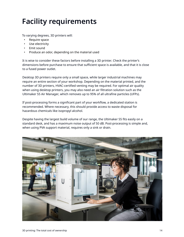## <span id="page-13-0"></span>**Facility requirements**

To varying degrees, 3D printers will:

- Require space
- Use electricity
- Emit sound
- Produce an odor, depending on the material used

It is wise to consider these factors before installing a 3D printer. Check the printer's dimensions before purchase to ensure that sufficient space is available, and that it is close to a fused power outlet.

Desktop 3D printers require only a small space, while larger industrial machines may require an entire section of your workshop. Depending on the material printed, and the number of 3D printers, HVAC-certified venting may be required. For optimal air quality when using desktop printers, you may also need an air filtration solution such as the Ultimaker S5 Air Manager, which removes up to 95% of all ultrafine particles (UFPs).

If post-processing forms a significant part of your workflow, a dedicated station is recommended. Where necessary, this should provide access to waste disposal for hazardous chemicals like isopropyl alcohol.

Despite having the largest build volume of our range, the Ultimaker S5 fits easily on a standard desk, and has a maximum noise output of 50 dB. Post-processing is simple and, when using PVA support material, requires only a sink or drain.

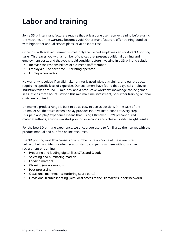### <span id="page-14-0"></span>**Labor and training**

Some 3D printer manufacturers require that at least one user receive training before using the machine, or the warranty becomes void. Other manufacturers offer training bundled with higher-tier annual service plans, or at an extra cost.

Once this skill-level requirement is met, only the trained employee can conduct 3D printing tasks. This leaves you with a number of choices that present additional training and employment costs, and that you should consider before investing in a 3D printing solution:

- Increase the responsibilities of a current staff member
- Employ a full or part-time 3D printing operator
- Employ a contractor

No warranty is voided if an Ultimaker printer is used without training, and our products require no specific level of expertise. Our customers have found that a typical employee induction takes around 30 minutes, and a productive workflow knowledge can be gained in as little as three hours. Beyond this minimal time investment, no further training or labor costs are required.

Ultimaker's product range is built to be as easy to use as possible. In the case of the Ultimaker S5, the touchscreen display provides intuitive instructions at every step. This 'plug and play' experience means that, using Ultimaker Cura's preconfigured material settings, anyone can start printing in seconds and achieve first-time-right results.

For the best 3D printing experience, we encourage users to familiarize themselves with the product manual and our free online resources.

The 3D printing workflow consists of a number of tasks. Some of these are listed below to help you identify whether your staff could perform them without further recruitment or training:

- Preparing and loading digital files (STLs and G-code)
- Selecting and purchasing material
- Loading material
- Cleaning (once a month)
- Post-processing
- Occasional maintenance (ordering spare parts)
- Occasional troubleshooting (with local access to the Ultimaker support network)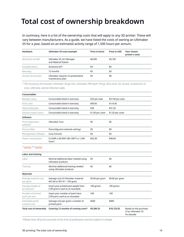### <span id="page-15-0"></span>**Total cost of ownership breakdown**

In summary, here is a list of the ownership costs that will apply to any 3D printer. These will vary between manufacturers. As a guide, we have listed the costs of owning an Ultimaker S5 for a year, based on an estimated activity range of 1,500 hours per annum.

| Hardware            | Ultimaker S5 costs example                             | <b>Price in Euros</b> | Price in USD | Your chosen<br>printer's costs |
|---------------------|--------------------------------------------------------|-----------------------|--------------|--------------------------------|
| 3D printer bundle   | Ultimaker S5, Air Manager,<br>and Material Station     | €8,495                | \$9,100      |                                |
| Included extras     | Accessory kit*                                         | €0                    | \$0          |                                |
| Warranty            | 12 months                                              | €0                    | \$0          |                                |
| Annual service plan | Ultimaker requires no preventative<br>maintenance plan | €0                    | \$0          |                                |

*\* This Accessory kit includes: Ultimaker Tough PLA, Ultimaker PVA (both 750 g), Glue stick, Oil, Grease, Screwdriver (2 mm), USB stick, and an Ethernet cable.*

| Consumables                   |                                                                |                 |                  |
|-------------------------------|----------------------------------------------------------------|-----------------|------------------|
| Bowden tubes                  | Consumable listed in warranty                                  | €23 per tube    | \$27.60 per tube |
| Print cores                   | Consumable listed in warranty                                  | €99.95          | \$114.95         |
| Glass build plate             | Consumable listed in warranty                                  | €28             | \$31.20          |
| Silicone nozzle covers        | Consumable listed in warranty                                  | €1.00 per cover | \$1.20 per cover |
| Software                      |                                                                |                 |                  |
| Print preparation<br>software | Ultimaker Cura                                                 | €0              | \$0              |
| Print profiles                | Preconfigured materials settings                               | €0              | \$0              |
| Management software           | Cura Connect                                                   | €0              | \$0              |
| Power consumption             | 0.3 kWh x €0.094* (\$0.108**) x 1,500<br>hours                 | €42.30          | \$48.60          |
| $*$ source $**$ source        |                                                                |                 |                  |
| Labor and training            |                                                                |                 |                  |
| Labor                         | Minimal additional labor needed using<br>Ultimaker products    | €0              | \$0              |
| Training                      | Minimal additional training needed<br>using Ultimaker products | €0              | \$0              |
| <b>Materials</b>              |                                                                |                 |                  |

**Total cost of ownership Covering 12 months of running costs\* €9,289.25 \$10,123.55** Based on the purchase

€0.06 per gram \$0.08 per gram

100 grams 100 grams

100 100

€600 \$800

*\*Please note: All prices accurate at the time of publication and are subject to change*

Average cost of Ultimaker material: €47.44 or \$57.91 ÷ 750 gram

Insert your printed part weight here (100 grams used as an example)

Insert your number of parts here (100 parts used as an example)

Average cost per gram x number of

printed parts

Average material cost

Average weight of printed part

Number of printed parts per year

Estimated yearly material cost

per gram

of an Ultimaker S5 Pro Bundle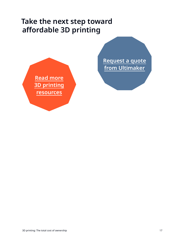### **Take the next step toward affordable 3D printing**



**[Request a quote](https://3d.ultimaker.com/request-quote?utm_source=white-paper&utm_medium=pdf&utm_content=total-cost-ownership) [from Ultimaker](https://3d.ultimaker.com/request-quote?utm_source=white-paper&utm_medium=pdf&utm_content=total-cost-ownership)**